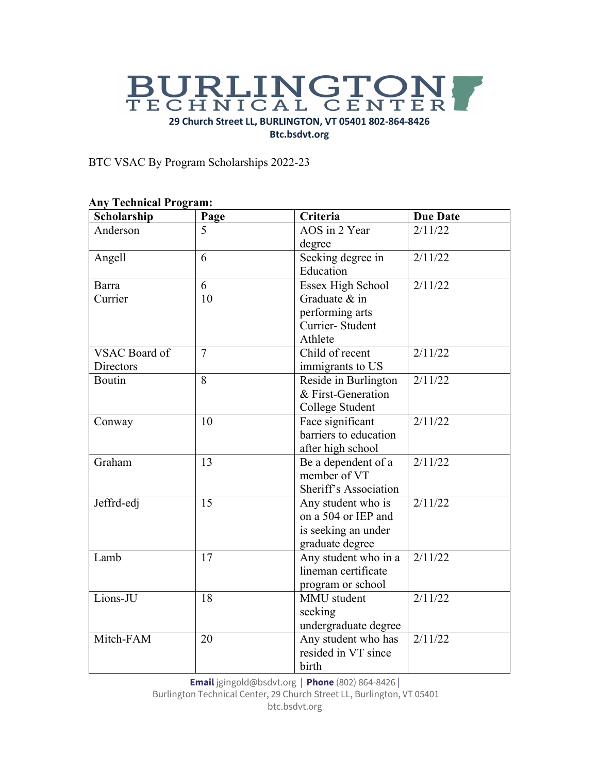# BURLINGTON **29 Church Street LL, BURLINGTON, VT 05401 802-864-8426 Btc.bsdvt.org**

BTC VSAC By Program Scholarships 2022-23

| Scholarship   | Page           | Criteria                 | <b>Due Date</b> |
|---------------|----------------|--------------------------|-----------------|
| Anderson      | 5              | AOS in 2 Year            | 2/11/22         |
|               |                | degree                   |                 |
| Angell        | 6              | Seeking degree in        | 2/11/22         |
|               |                | Education                |                 |
| Barra         | 6              | <b>Essex High School</b> | 2/11/22         |
| Currier       | 10             | Graduate & in            |                 |
|               |                | performing arts          |                 |
|               |                | Currier-Student          |                 |
|               |                | Athlete                  |                 |
| VSAC Board of | $\overline{7}$ | Child of recent          | 2/11/22         |
| Directors     |                | immigrants to US         |                 |
| Boutin        | 8              | Reside in Burlington     | 2/11/22         |
|               |                | & First-Generation       |                 |
|               |                | College Student          |                 |
| Conway        | 10             | Face significant         | 2/11/22         |
|               |                | barriers to education    |                 |
|               |                | after high school        |                 |
| Graham        | 13             | Be a dependent of a      | 2/11/22         |
|               |                | member of VT             |                 |
|               |                | Sheriff's Association    |                 |
| Jeffrd-edj    | 15             | Any student who is       | 2/11/22         |
|               |                | on a 504 or IEP and      |                 |
|               |                | is seeking an under      |                 |
|               |                | graduate degree          |                 |
| Lamb          | 17             | Any student who in a     | 2/11/22         |
|               |                | lineman certificate      |                 |
|               |                | program or school        |                 |
| Lions-JU      | 18             | MMU student              | 2/11/22         |
|               |                | seeking                  |                 |
|               |                | undergraduate degree     |                 |
| Mitch-FAM     | 20             | Any student who has      | 2/11/22         |
|               |                | resided in VT since      |                 |
|               |                | birth                    |                 |

#### **Any Technical Program:**

**Email** jgingold@bsdvt.org | **Phone** (802) 864-8426 |

Burlington Technical Center, 29 Church Street LL, Burlington, VT 05401 btc.bsdvt.org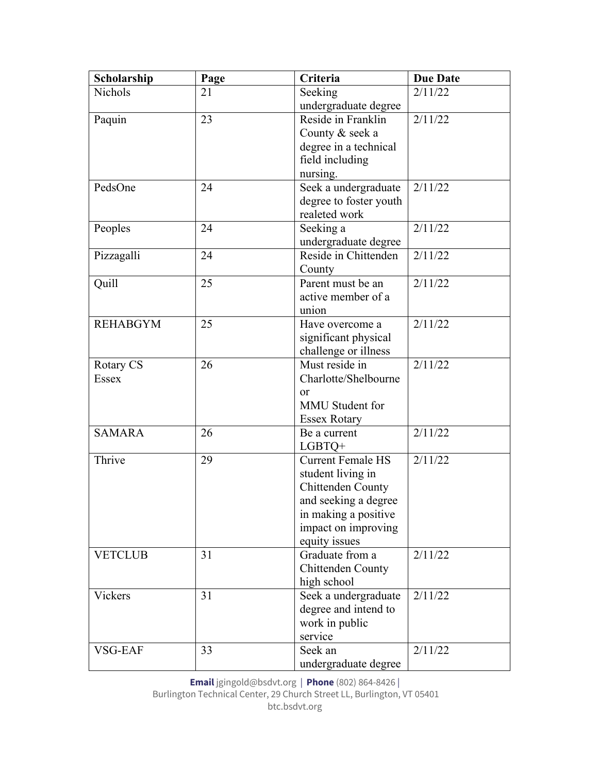| Scholarship     | Page | Criteria                 | <b>Due Date</b> |
|-----------------|------|--------------------------|-----------------|
| Nichols         | 21   | Seeking                  | 2/11/22         |
|                 |      | undergraduate degree     |                 |
| Paquin          | 23   | Reside in Franklin       | 2/11/22         |
|                 |      | County & seek a          |                 |
|                 |      | degree in a technical    |                 |
|                 |      | field including          |                 |
|                 |      | nursing.                 |                 |
| PedsOne         | 24   | Seek a undergraduate     | 2/11/22         |
|                 |      | degree to foster youth   |                 |
|                 |      | realeted work            |                 |
| Peoples         | 24   | Seeking a                | 2/11/22         |
|                 |      | undergraduate degree     |                 |
| Pizzagalli      | 24   | Reside in Chittenden     | 2/11/22         |
|                 |      | County                   |                 |
| Quill           | 25   | Parent must be an        | 2/11/22         |
|                 |      | active member of a       |                 |
|                 |      | union                    |                 |
| <b>REHABGYM</b> | 25   | Have overcome a          | 2/11/22         |
|                 |      | significant physical     |                 |
|                 |      | challenge or illness     |                 |
| Rotary CS       | 26   | Must reside in           | 2/11/22         |
| <b>Essex</b>    |      | Charlotte/Shelbourne     |                 |
|                 |      | <sub>or</sub>            |                 |
|                 |      | MMU Student for          |                 |
|                 |      | <b>Essex Rotary</b>      |                 |
| <b>SAMARA</b>   | 26   | Be a current             | 2/11/22         |
|                 |      | $LGBTQ+$                 |                 |
| Thrive          | 29   | <b>Current Female HS</b> | 2/11/22         |
|                 |      | student living in        |                 |
|                 |      | Chittenden County        |                 |
|                 |      | and seeking a degree     |                 |
|                 |      | in making a positive     |                 |
|                 |      | impact on improving      |                 |
|                 |      | equity issues            |                 |
| <b>VETCLUB</b>  | 31   | Graduate from a          | 2/11/22         |
|                 |      | Chittenden County        |                 |
|                 |      | high school              |                 |
| Vickers         | 31   | Seek a undergraduate     | 2/11/22         |
|                 |      | degree and intend to     |                 |
|                 |      | work in public           |                 |
|                 |      | service                  |                 |
| VSG-EAF         | 33   | Seek an                  | 2/11/22         |
|                 |      | undergraduate degree     |                 |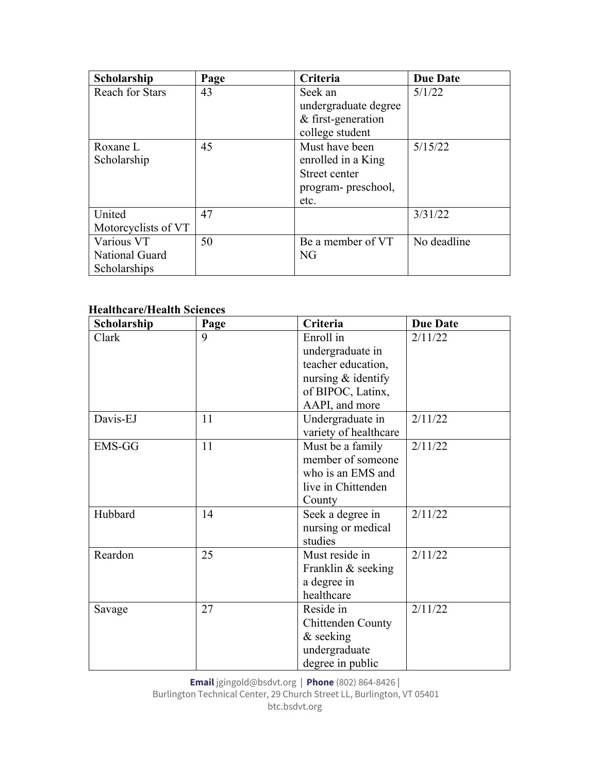| Scholarship            | Page | Criteria             | <b>Due Date</b> |
|------------------------|------|----------------------|-----------------|
| <b>Reach for Stars</b> | 43   | Seek an              | 5/1/22          |
|                        |      | undergraduate degree |                 |
|                        |      | & first-generation   |                 |
|                        |      | college student      |                 |
| Roxane L               | 45   | Must have been       | 5/15/22         |
| Scholarship            |      | enrolled in a King   |                 |
|                        |      | Street center        |                 |
|                        |      | program- preschool,  |                 |
|                        |      | etc.                 |                 |
| United                 | 47   |                      | 3/31/22         |
| Motorcyclists of VT    |      |                      |                 |
| Various VT             | 50   | Be a member of VT    | No deadline     |
| National Guard         |      | NG                   |                 |
| Scholarships           |      |                      |                 |

## **Healthcare/Health Sciences**

| Scholarship | Page | Criteria              | <b>Due Date</b> |
|-------------|------|-----------------------|-----------------|
| Clark       | 9    | Enroll in             | 2/11/22         |
|             |      | undergraduate in      |                 |
|             |      | teacher education,    |                 |
|             |      | nursing & identify    |                 |
|             |      | of BIPOC, Latinx,     |                 |
|             |      | AAPI, and more        |                 |
| Davis-EJ    | 11   | Undergraduate in      | 2/11/22         |
|             |      | variety of healthcare |                 |
| EMS-GG      | 11   | Must be a family      | 2/11/22         |
|             |      | member of someone     |                 |
|             |      | who is an EMS and     |                 |
|             |      | live in Chittenden    |                 |
|             |      | County                |                 |
| Hubbard     | 14   | Seek a degree in      | 2/11/22         |
|             |      | nursing or medical    |                 |
|             |      | studies               |                 |
| Reardon     | 25   | Must reside in        | 2/11/22         |
|             |      | Franklin & seeking    |                 |
|             |      | a degree in           |                 |
|             |      | healthcare            |                 |
| Savage      | 27   | Reside in             | 2/11/22         |
|             |      | Chittenden County     |                 |
|             |      | & seeking             |                 |
|             |      | undergraduate         |                 |
|             |      | degree in public      |                 |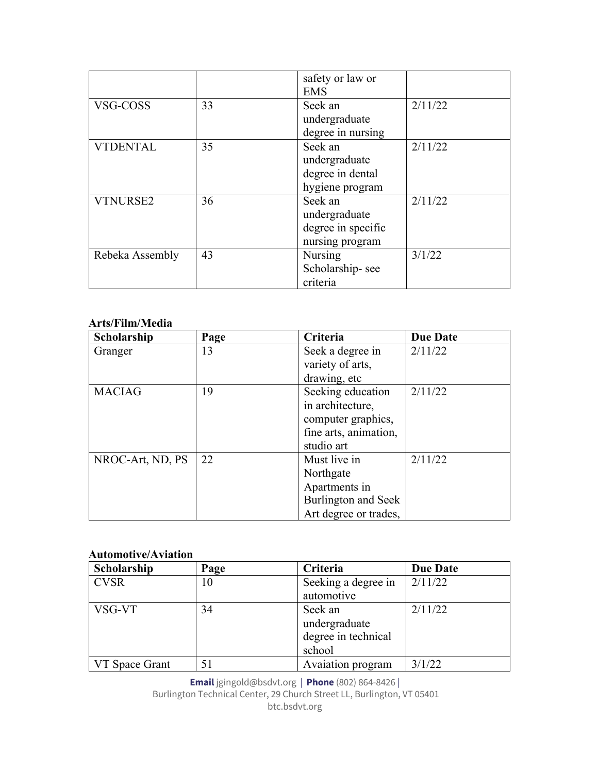|                 |    | safety or law or   |         |
|-----------------|----|--------------------|---------|
|                 |    | <b>EMS</b>         |         |
| VSG-COSS        | 33 | Seek an            | 2/11/22 |
|                 |    | undergraduate      |         |
|                 |    | degree in nursing  |         |
| <b>VTDENTAL</b> | 35 | Seek an            | 2/11/22 |
|                 |    | undergraduate      |         |
|                 |    | degree in dental   |         |
|                 |    | hygiene program    |         |
| <b>VTNURSE2</b> | 36 | Seek an            | 2/11/22 |
|                 |    | undergraduate      |         |
|                 |    | degree in specific |         |
|                 |    | nursing program    |         |
| Rebeka Assembly | 43 | Nursing            | 3/1/22  |
|                 |    | Scholarship-see    |         |
|                 |    | criteria           |         |

#### **Arts/Film/Media**

| Scholarship      | Page | Criteria              | <b>Due Date</b> |
|------------------|------|-----------------------|-----------------|
| Granger          | 13   | Seek a degree in      | 2/11/22         |
|                  |      | variety of arts,      |                 |
|                  |      | drawing, etc          |                 |
| <b>MACIAG</b>    | 19   | Seeking education     | 2/11/22         |
|                  |      | in architecture,      |                 |
|                  |      | computer graphics,    |                 |
|                  |      | fine arts, animation, |                 |
|                  |      | studio art            |                 |
| NROC-Art, ND, PS | 22   | Must live in          | 2/11/22         |
|                  |      | Northgate             |                 |
|                  |      | Apartments in         |                 |
|                  |      | Burlington and Seek   |                 |
|                  |      | Art degree or trades, |                 |

### **Automotive/Aviation**

| Scholarship           | Page | Criteria            | <b>Due Date</b> |
|-----------------------|------|---------------------|-----------------|
| <b>CVSR</b>           | 10   | Seeking a degree in | 2/11/22         |
|                       |      | automotive          |                 |
| VSG-VT                | 34   | Seek an             | 2/11/22         |
|                       |      | undergraduate       |                 |
|                       |      | degree in technical |                 |
|                       |      | school              |                 |
| <b>VT</b> Space Grant |      | Avaiation program   | 3/1/22          |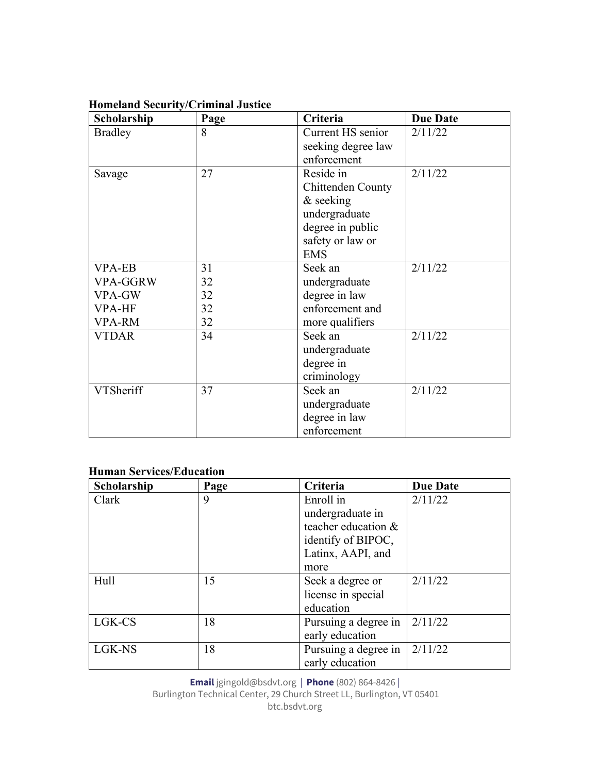| Scholarship      | Page | Criteria           | <b>Due Date</b> |
|------------------|------|--------------------|-----------------|
| <b>Bradley</b>   | 8    | Current HS senior  | 2/11/22         |
|                  |      | seeking degree law |                 |
|                  |      | enforcement        |                 |
| Savage           | 27   | Reside in          | 2/11/22         |
|                  |      | Chittenden County  |                 |
|                  |      | & seeking          |                 |
|                  |      | undergraduate      |                 |
|                  |      | degree in public   |                 |
|                  |      | safety or law or   |                 |
|                  |      | <b>EMS</b>         |                 |
| <b>VPA-EB</b>    | 31   | Seek an            | 2/11/22         |
| VPA-GGRW         | 32   | undergraduate      |                 |
| VPA-GW           | 32   | degree in law      |                 |
| <b>VPA-HF</b>    | 32   | enforcement and    |                 |
| <b>VPA-RM</b>    | 32   | more qualifiers    |                 |
| <b>VTDAR</b>     | 34   | Seek an            | 2/11/22         |
|                  |      | undergraduate      |                 |
|                  |      | degree in          |                 |
|                  |      | criminology        |                 |
| <b>VTSheriff</b> | 37   | Seek an            | 2/11/22         |
|                  |      | undergraduate      |                 |
|                  |      | degree in law      |                 |
|                  |      | enforcement        |                 |

# **Homeland Security/Criminal Justice**

#### **Human Services/Education**

| Scholarship | Page | Criteria              | <b>Due Date</b> |
|-------------|------|-----------------------|-----------------|
| Clark       | 9    | Enroll in             | 2/11/22         |
|             |      | undergraduate in      |                 |
|             |      | teacher education $&$ |                 |
|             |      | identify of BIPOC,    |                 |
|             |      | Latinx, AAPI, and     |                 |
|             |      | more                  |                 |
| Hull        | 15   | Seek a degree or      | 2/11/22         |
|             |      | license in special    |                 |
|             |      | education             |                 |
| LGK-CS      | 18   | Pursuing a degree in  | 2/11/22         |
|             |      | early education       |                 |
| LGK-NS      | 18   | Pursuing a degree in  | 2/11/22         |
|             |      | early education       |                 |